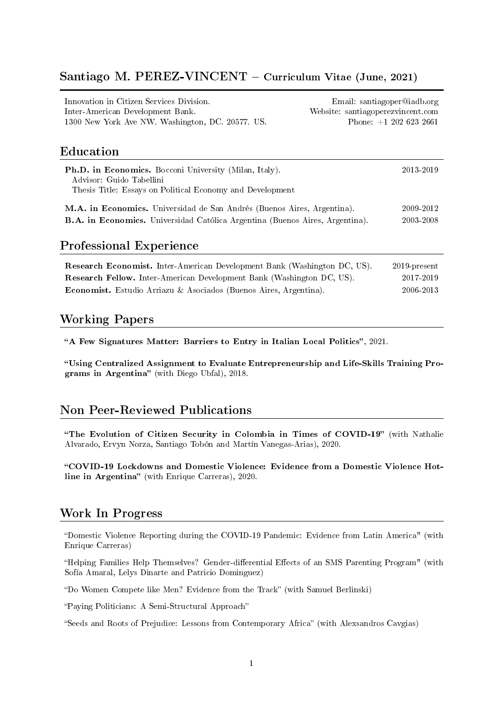#### Santiago M. PEREZ-VINCENT – Curriculum Vitae (June, 2021)

| Innovation in Citizen Services Division.         | Email: santiagoper@iadb.org       |
|--------------------------------------------------|-----------------------------------|
| Inter-American Development Bank.                 | Website: santiagoperezvincent.com |
| 1300 New York Ave NW. Washington, DC. 20577. US. | Phone: $+1$ 202 623 2661          |
|                                                  |                                   |
|                                                  |                                   |

# Education

| <b>Ph.D. in Economics.</b> Bocconi University (Milan, Italy).<br>Advisor: Guido Tabellini<br>Thesis Title: Essays on Political Economy and Development | 2013-2019 |
|--------------------------------------------------------------------------------------------------------------------------------------------------------|-----------|
| M.A. in Economics. Universidad de San Andrés (Buenos Aires, Argentina).                                                                                | 2009-2012 |
| <b>B.A.</b> in Economics. Universidad Católica Argentina (Buenos Aires, Argentina).                                                                    | 2003-2008 |

#### Professional Experience

| <b>Research Economist.</b> Inter-American Development Bank (Washington DC, US). | $2019$ -present |
|---------------------------------------------------------------------------------|-----------------|
| <b>Research Fellow.</b> Inter-American Development Bank (Washington DC, US).    | 2017-2019       |
| <b>Economist.</b> Estudio Arriazu & Asociados (Buenos Aires, Argentina).        | 2006-2013       |

# Working Papers

"A Few Signatures Matter: Barriers to Entry in Italian Local Politics", 2021.

[Using Centralized Assignment to Evaluate Entrepreneurship and Life-Skills Training Pro](https://drive.google.com/open?id=1cUYZ9hE7xLhCYnL4EcOJ9npn3BSmuAhH)[grams in Argentina](https://drive.google.com/open?id=1cUYZ9hE7xLhCYnL4EcOJ9npn3BSmuAhH)" (with Diego Ubfal), 2018.

## Non Peer-Reviewed Publications

"[The Evolution of Citizen Security in Colombia in Times of COVID-19](https://publications.iadb.org/es/evolucion-de-la-seguridad-ciudadana-en-colombia-en-tiempos-del-covid-19)" (with Nathalie Alvarado, Ervyn Norza, Santiago Tobón and Martín Vanegas-Arias), 2020.

[COVID-19 Lockdowns and Domestic Violence: Evidence from a Domestic Violence Hot](https://publications.iadb.org/en/covid-19-lockdowns-and-domestic-violence-evidence-from-two-studies-in-argentina)[line in Argentina](https://publications.iadb.org/en/covid-19-lockdowns-and-domestic-violence-evidence-from-two-studies-in-argentina)" (with Enrique Carreras), 2020.

## Work In Progress

Domestic Violence Reporting during the COVID-19 Pandemic: Evidence from Latin America" (with Enrique Carreras)

"Helping Families Help Themselves? Gender-differential Effects of an SMS Parenting Program" (with Sofía Amaral, Lelys Dinarte and Patricio Dominguez)

"Do Women Compete like Men? Evidence from the Track" (with Samuel Berlinski)

Paying Politicians: A Semi-Structural Approach

"Seeds and Roots of Prejudice: Lessons from Contemporary Africa" (with Alexsandros Cavgias)